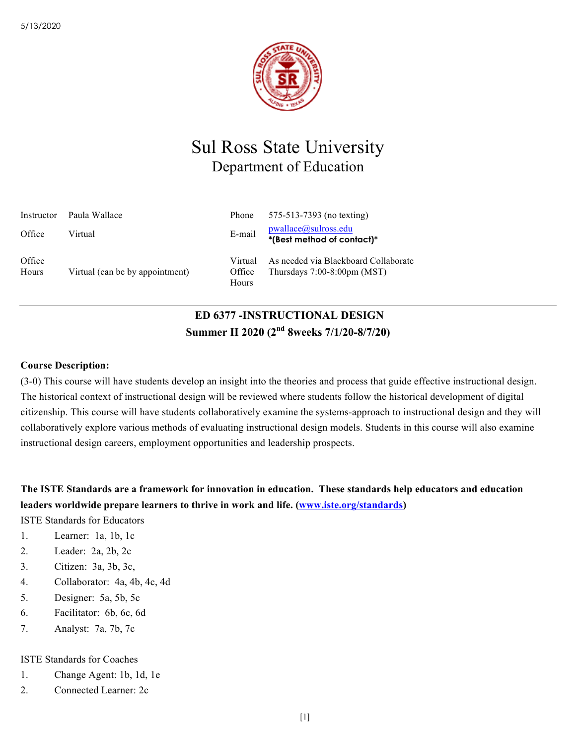

# Sul Ross State University Department of Education

| Instructor      | Paula Wallace                   | Phone                      | 575-513-7393 (no texting)                                                        |
|-----------------|---------------------------------|----------------------------|----------------------------------------------------------------------------------|
| Office          | Virtual                         | E-mail                     | pwallace@sulross.edu<br>*(Best method of contact)*                               |
| Office<br>Hours | Virtual (can be by appointment) | Virtual<br>Office<br>Hours | As needed via Blackboard Collaborate<br>Thursdays $7:00-8:00 \text{pm} \, (MST)$ |

# **ED 6377 -INSTRUCTIONAL DESIGN Summer II 2020 (2nd 8weeks 7/1/20-8/7/20)**

## **Course Description:**

(3-0) This course will have students develop an insight into the theories and process that guide effective instructional design. The historical context of instructional design will be reviewed where students follow the historical development of digital citizenship. This course will have students collaboratively examine the systems-approach to instructional design and they will collaboratively explore various methods of evaluating instructional design models. Students in this course will also examine instructional design careers, employment opportunities and leadership prospects.

**The ISTE Standards are a framework for innovation in education. These standards help educators and education leaders worldwide prepare learners to thrive in work and life. (www.iste.org/standards)**

ISTE Standards for Educators

- 1. Learner: 1a, 1b, 1c
- 2. Leader: 2a, 2b, 2c
- 3. Citizen: 3a, 3b, 3c,
- 4. Collaborator: 4a, 4b, 4c, 4d
- 5. Designer: 5a, 5b, 5c
- 6. Facilitator: 6b, 6c, 6d
- 7. Analyst: 7a, 7b, 7c

### ISTE Standards for Coaches

- 1. Change Agent: 1b, 1d, 1e
- 2. Connected Learner: 2c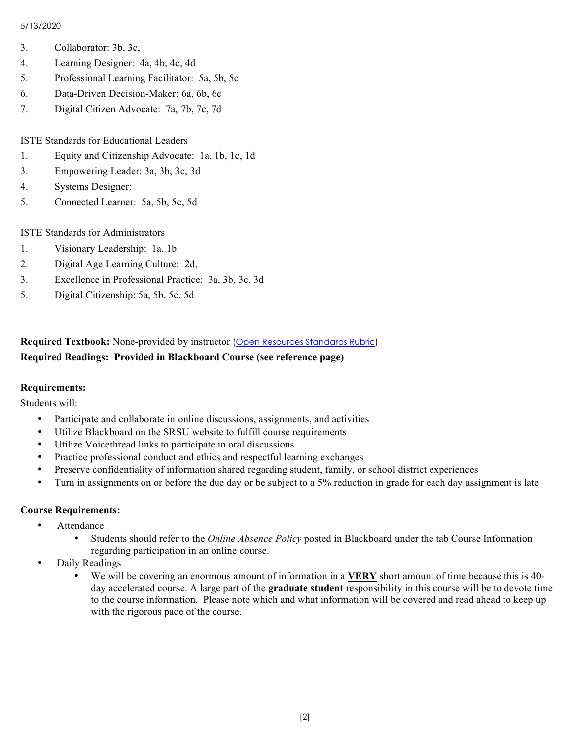### 5/13/2020

- 3. Collaborator: 3b, 3c,
- 4. Learning Designer: 4a, 4b, 4c, 4d
- 5. Professional Learning Facilitator: 5a, 5b, 5c
- 6. Data-Driven Decision-Maker: 6a, 6b, 6c
- 7. Digital Citizen Advocate: 7a, 7b, 7c, 7d

ISTE Standards for Educational Leaders

- 1. Equity and Citizenship Advocate: 1a, 1b, 1c, 1d
- 3. Empowering Leader: 3a, 3b, 3c, 3d
- 4. Systems Designer:
- 5. Connected Learner: 5a, 5b, 5c, 5d

ISTE Standards for Administrators

- 1. Visionary Leadership: 1a, 1b
- 2. Digital Age Learning Culture: 2d,
- 3. Excellence in Professional Practice: 3a, 3b, 3c, 3d
- 5. Digital Citizenship: 5a, 5b, 5c, 5d

# **Required Textbook:** None-provided by instructor (Open Resources Standards Rubric) **Required Readings: Provided in Blackboard Course (see reference page)**

### **Requirements:**

Students will:

- Participate and collaborate in online discussions, assignments, and activities
- Utilize Blackboard on the SRSU website to fulfill course requirements
- Utilize Voicethread links to participate in oral discussions
- Practice professional conduct and ethics and respectful learning exchanges
- Preserve confidentiality of information shared regarding student, family, or school district experiences
- Turn in assignments on or before the due day or be subject to a 5% reduction in grade for each day assignment is late

### **Course Requirements:**

- Attendance
	- Students should refer to the *Online Absence Policy* posted in Blackboard under the tab Course Information regarding participation in an online course.
- Daily Readings
	- We will be covering an enormous amount of information in a **VERY** short amount of time because this is 40 day accelerated course. A large part of the **graduate student** responsibility in this course will be to devote time to the course information. Please note which and what information will be covered and read ahead to keep up with the rigorous pace of the course.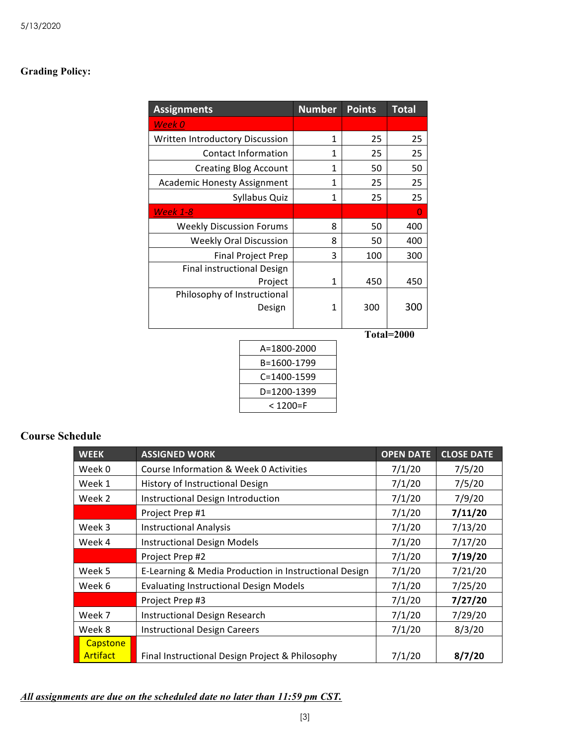# **Grading Policy:**

| <b>Assignments</b>                 | <b>Number</b> | <b>Points</b> | <b>Total</b> |
|------------------------------------|---------------|---------------|--------------|
| Week 0                             |               |               |              |
| Written Introductory Discussion    | 1             | 25            | 25           |
| <b>Contact Information</b>         | 1             | 25            | 25           |
| <b>Creating Blog Account</b>       | 1             | 50            | 50           |
| <b>Academic Honesty Assignment</b> | 1             | 25            | 25           |
| Syllabus Quiz                      | 1             | 25            | 25           |
| <b>Week 1-8</b>                    |               |               | 0            |
| <b>Weekly Discussion Forums</b>    | 8             | 50            | 400          |
| <b>Weekly Oral Discussion</b>      | 8             | 50            | 400          |
| <b>Final Project Prep</b>          | 3             | 100           | 300          |
| Final instructional Design         |               |               |              |
| Project                            | 1             | 450           | 450          |
| Philosophy of Instructional        |               |               |              |
| Design                             | 1             | 300           | 300          |
|                                    |               |               |              |
|                                    |               | Tata1-2000    |              |

**Total=2000**

| A=1800-2000 |
|-------------|
| B=1600-1799 |
| C=1400-1599 |
| D=1200-1399 |
| < 1200=F    |

# **Course Schedule**

| <b>WEEK</b> | <b>ASSIGNED WORK</b>                                  | <b>OPEN DATE</b> | <b>CLOSE DATE</b> |
|-------------|-------------------------------------------------------|------------------|-------------------|
| Week 0      | Course Information & Week 0 Activities                | 7/1/20           | 7/5/20            |
| Week 1      | History of Instructional Design                       | 7/1/20           | 7/5/20            |
| Week 2      | Instructional Design Introduction                     | 7/1/20           | 7/9/20            |
|             | Project Prep #1                                       | 7/1/20           | 7/11/20           |
| Week 3      | <b>Instructional Analysis</b>                         | 7/1/20           | 7/13/20           |
| Week 4      | <b>Instructional Design Models</b>                    | 7/1/20           | 7/17/20           |
|             | Project Prep #2                                       | 7/1/20           | 7/19/20           |
| Week 5      | E-Learning & Media Production in Instructional Design | 7/1/20           | 7/21/20           |
| Week 6      | <b>Evaluating Instructional Design Models</b>         | 7/1/20           | 7/25/20           |
|             | Project Prep #3                                       | 7/1/20           | 7/27/20           |
| Week 7      | <b>Instructional Design Research</b>                  | 7/1/20           | 7/29/20           |
| Week 8      | <b>Instructional Design Careers</b>                   | 7/1/20           | 8/3/20            |
| Capstone    |                                                       |                  |                   |
| Artifact    | Final Instructional Design Project & Philosophy       | 7/1/20           | 8/7/20            |

*All assignments are due on the scheduled date no later than 11:59 pm CST.*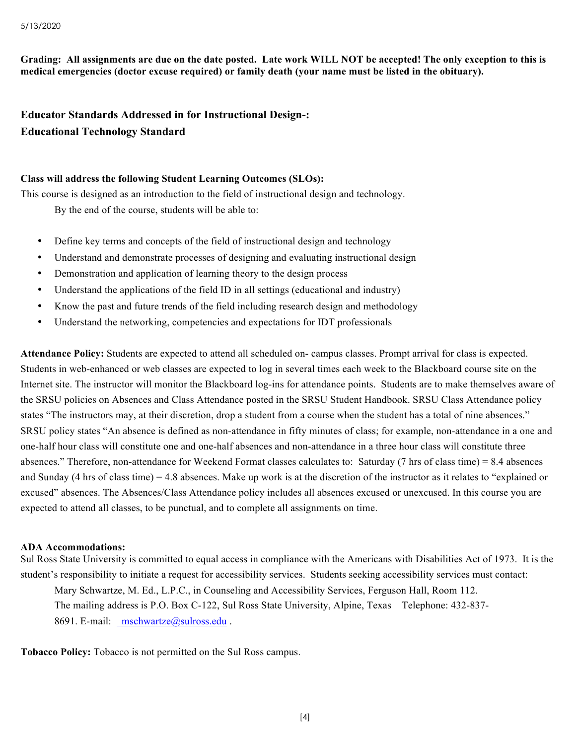**Grading: All assignments are due on the date posted. Late work WILL NOT be accepted! The only exception to this is medical emergencies (doctor excuse required) or family death (your name must be listed in the obituary).** 

**Educator Standards Addressed in for Instructional Design-: Educational Technology Standard**

### **Class will address the following Student Learning Outcomes (SLOs):**

This course is designed as an introduction to the field of instructional design and technology.

By the end of the course, students will be able to:

- Define key terms and concepts of the field of instructional design and technology
- Understand and demonstrate processes of designing and evaluating instructional design
- Demonstration and application of learning theory to the design process
- Understand the applications of the field ID in all settings (educational and industry)
- Know the past and future trends of the field including research design and methodology
- Understand the networking, competencies and expectations for IDT professionals

**Attendance Policy:** Students are expected to attend all scheduled on- campus classes. Prompt arrival for class is expected. Students in web-enhanced or web classes are expected to log in several times each week to the Blackboard course site on the Internet site. The instructor will monitor the Blackboard log-ins for attendance points. Students are to make themselves aware of the SRSU policies on Absences and Class Attendance posted in the SRSU Student Handbook. SRSU Class Attendance policy states "The instructors may, at their discretion, drop a student from a course when the student has a total of nine absences." SRSU policy states "An absence is defined as non-attendance in fifty minutes of class; for example, non-attendance in a one and one-half hour class will constitute one and one-half absences and non-attendance in a three hour class will constitute three absences." Therefore, non-attendance for Weekend Format classes calculates to: Saturday (7 hrs of class time) = 8.4 absences and Sunday (4 hrs of class time) = 4.8 absences. Make up work is at the discretion of the instructor as it relates to "explained or excused" absences. The Absences/Class Attendance policy includes all absences excused or unexcused. In this course you are expected to attend all classes, to be punctual, and to complete all assignments on time.

#### **ADA Accommodations:**

Sul Ross State University is committed to equal access in compliance with the Americans with Disabilities Act of 1973. It is the student's responsibility to initiate a request for accessibility services. Students seeking accessibility services must contact:

Mary Schwartze, M. Ed., L.P.C., in Counseling and Accessibility Services, Ferguson Hall, Room 112. The mailing address is P.O. Box C-122, Sul Ross State University, Alpine, Texas Telephone: 432-837- 8691. E-mail: mschwartze@sulross.edu.

**Tobacco Policy:** Tobacco is not permitted on the Sul Ross campus.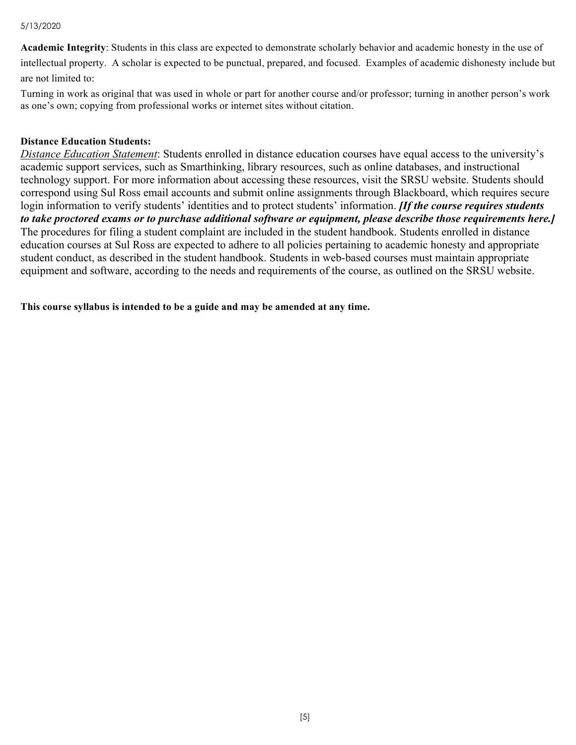#### 5/13/2020

**Academic Integrity**: Students in this class are expected to demonstrate scholarly behavior and academic honesty in the use of intellectual property. A scholar is expected to be punctual, prepared, and focused. Examples of academic dishonesty include but are not limited to:

Turning in work as original that was used in whole or part for another course and/or professor; turning in another person's work as one's own; copying from professional works or internet sites without citation.

### **Distance Education Students:**

*Distance Education Statement*: Students enrolled in distance education courses have equal access to the university's academic support services, such as Smarthinking, library resources, such as online databases, and instructional technology support. For more information about accessing these resources, visit the SRSU website. Students should correspond using Sul Ross email accounts and submit online assignments through Blackboard, which requires secure login information to verify students' identities and to protect students' information. *[If the course requires students to take proctored exams or to purchase additional software or equipment, please describe those requirements here.]* The procedures for filing a student complaint are included in the student handbook. Students enrolled in distance education courses at Sul Ross are expected to adhere to all policies pertaining to academic honesty and appropriate student conduct, as described in the student handbook. Students in web-based courses must maintain appropriate equipment and software, according to the needs and requirements of the course, as outlined on the SRSU website.

**This course syllabus is intended to be a guide and may be amended at any time.**